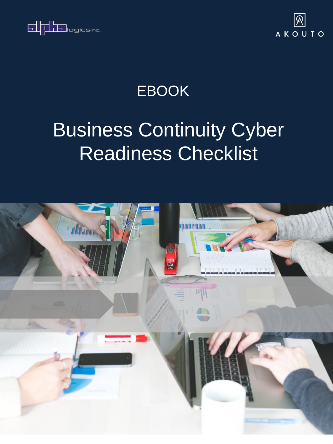



## EBOOK

# Business Continuity Cyber Readiness Checklist

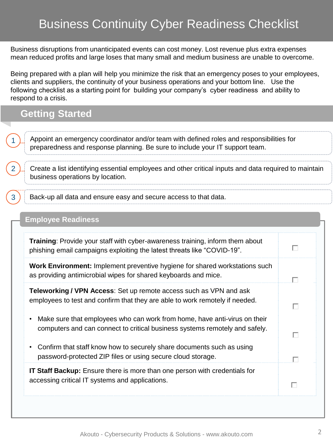Business disruptions from unanticipated events can cost money. Lost revenue plus extra expenses mean reduced profits and large loses that many small and medium business are unable to overcome.

Being prepared with a plan will help you minimize the risk that an emergency poses to your employees, clients and suppliers, the continuity of your business operations and your bottom line. Use the following checklist as a starting point for building your company's cyber readiness and ability to respond to a crisis.

#### **Getting Started**

1

2

3

Appoint an emergency coordinator and/or team with defined roles and responsibilities for preparedness and response planning. Be sure to include your IT support team.

Create a list identifying essential employees and other critical inputs and data required to maintain business operations by location.

Back-up all data and ensure easy and secure access to that data.

| <b>Employee Readiness</b>                                                                                                                                       |  |
|-----------------------------------------------------------------------------------------------------------------------------------------------------------------|--|
| <b>Training:</b> Provide your staff with cyber-awareness training, inform them about<br>phishing email campaigns exploiting the latest threats like "COVID-19". |  |
| <b>Work Environment:</b> Implement preventive hygiene for shared workstations such<br>as providing antimicrobial wipes for shared keyboards and mice.           |  |
| <b>Teleworking / VPN Access:</b> Set up remote access such as VPN and ask<br>employees to test and confirm that they are able to work remotely if needed.       |  |
| Make sure that employees who can work from home, have anti-virus on their<br>computers and can connect to critical business systems remotely and safely.        |  |
| Confirm that staff know how to securely share documents such as using<br>password-protected ZIP files or using secure cloud storage.                            |  |
| <b>IT Staff Backup:</b> Ensure there is more than one person with credentials for<br>accessing critical IT systems and applications.                            |  |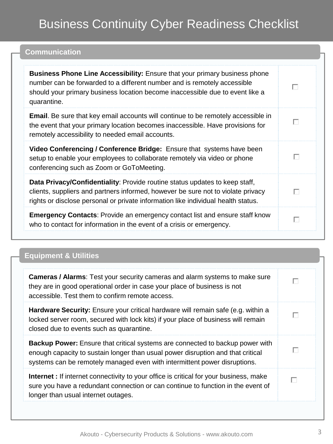## Business Continuity Cyber Readiness Checklist

#### **Communication**

| <b>Business Phone Line Accessibility:</b> Ensure that your primary business phone<br>number can be forwarded to a different number and is remotely accessible<br>should your primary business location become inaccessible due to event like a<br>quarantine. |  |
|---------------------------------------------------------------------------------------------------------------------------------------------------------------------------------------------------------------------------------------------------------------|--|
| <b>Email.</b> Be sure that key email accounts will continue to be remotely accessible in<br>the event that your primary location becomes inaccessible. Have provisions for<br>remotely accessibility to needed email accounts.                                |  |
| Video Conferencing / Conference Bridge: Ensure that systems have been<br>setup to enable your employees to collaborate remotely via video or phone<br>conferencing such as Zoom or GoToMeeting.                                                               |  |
| Data Privacy/Confidentiality: Provide routine status updates to keep staff,<br>clients, suppliers and partners informed, however be sure not to violate privacy<br>rights or disclose personal or private information like individual health status.          |  |
| <b>Emergency Contacts:</b> Provide an emergency contact list and ensure staff know<br>who to contact for information in the event of a crisis or emergency.                                                                                                   |  |

#### **Equipment & Utilities**